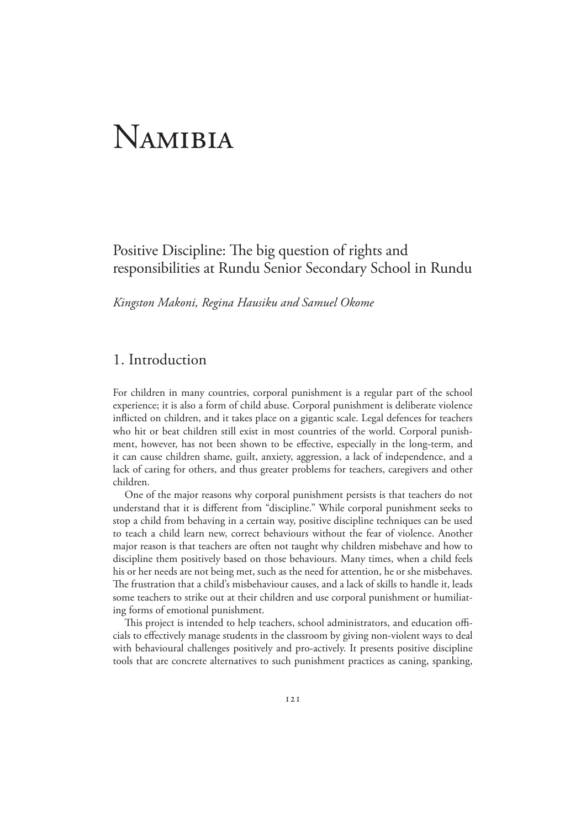# Namibia

# Positive Discipline: The big question of rights and responsibilities at Rundu Senior Secondary School in Rundu

*Kingston Makoni, Regina Hausiku and Samuel Okome*

# 1. Introduction

For children in many countries, corporal punishment is a regular part of the school experience; it is also a form of child abuse. Corporal punishment is deliberate violence inflicted on children, and it takes place on a gigantic scale. Legal defences for teachers who hit or beat children still exist in most countries of the world. Corporal punishment, however, has not been shown to be effective, especially in the long-term, and it can cause children shame, guilt, anxiety, aggression, a lack of independence, and a lack of caring for others, and thus greater problems for teachers, caregivers and other children.

 One of the major reasons why corporal punishment persists is that teachers do not understand that it is different from "discipline." While corporal punishment seeks to stop a child from behaving in a certain way, positive discipline techniques can be used to teach a child learn new, correct behaviours without the fear of violence. Another major reason is that teachers are often not taught why children misbehave and how to discipline them positively based on those behaviours. Many times, when a child feels his or her needs are not being met, such as the need for attention, he or she misbehaves. The frustration that a child's misbehaviour causes, and a lack of skills to handle it, leads some teachers to strike out at their children and use corporal punishment or humiliating forms of emotional punishment.

 This project is intended to help teachers, school administrators, and education officials to effectively manage students in the classroom by giving non-violent ways to deal with behavioural challenges positively and pro-actively. It presents positive discipline tools that are concrete alternatives to such punishment practices as caning, spanking,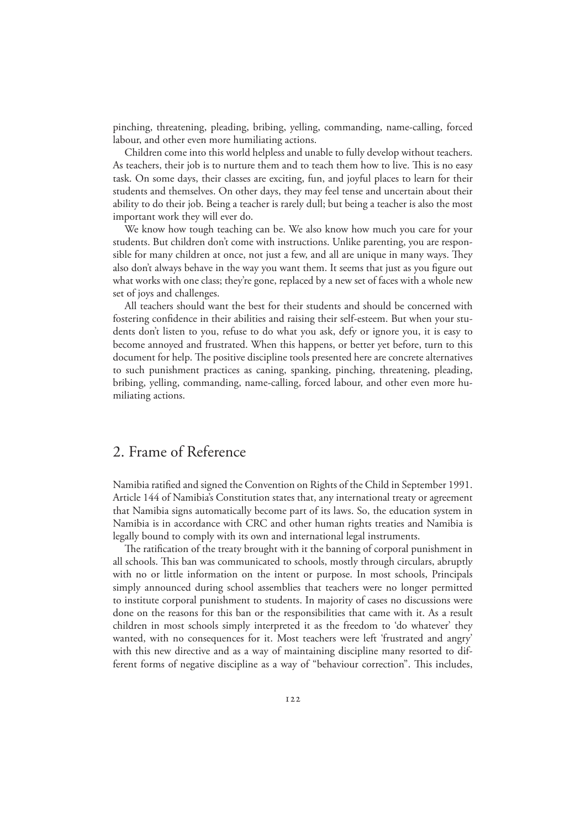pinching, threatening, pleading, bribing, yelling, commanding, name-calling, forced labour, and other even more humiliating actions.

 Children come into this world helpless and unable to fully develop without teachers. As teachers, their job is to nurture them and to teach them how to live. This is no easy task. On some days, their classes are exciting, fun, and joyful places to learn for their students and themselves. On other days, they may feel tense and uncertain about their ability to do their job. Being a teacher is rarely dull; but being a teacher is also the most important work they will ever do.

 We know how tough teaching can be. We also know how much you care for your students. But children don't come with instructions. Unlike parenting, you are responsible for many children at once, not just a few, and all are unique in many ways. They also don't always behave in the way you want them. It seems that just as you figure out what works with one class; they're gone, replaced by a new set of faces with a whole new set of joys and challenges.

 All teachers should want the best for their students and should be concerned with fostering confidence in their abilities and raising their self-esteem. But when your students don't listen to you, refuse to do what you ask, defy or ignore you, it is easy to become annoyed and frustrated. When this happens, or better yet before, turn to this document for help. The positive discipline tools presented here are concrete alternatives to such punishment practices as caning, spanking, pinching, threatening, pleading, bribing, yelling, commanding, name-calling, forced labour, and other even more humiliating actions.

## 2. Frame of Reference

Namibia ratified and signed the Convention on Rights of the Child in September 1991. Article 144 of Namibia's Constitution states that, any international treaty or agreement that Namibia signs automatically become part of its laws. So, the education system in Namibia is in accordance with CRC and other human rights treaties and Namibia is legally bound to comply with its own and international legal instruments.

 The ratification of the treaty brought with it the banning of corporal punishment in all schools. This ban was communicated to schools, mostly through circulars, abruptly with no or little information on the intent or purpose. In most schools, Principals simply announced during school assemblies that teachers were no longer permitted to institute corporal punishment to students. In majority of cases no discussions were done on the reasons for this ban or the responsibilities that came with it. As a result children in most schools simply interpreted it as the freedom to 'do whatever' they wanted, with no consequences for it. Most teachers were left 'frustrated and angry' with this new directive and as a way of maintaining discipline many resorted to different forms of negative discipline as a way of "behaviour correction". This includes,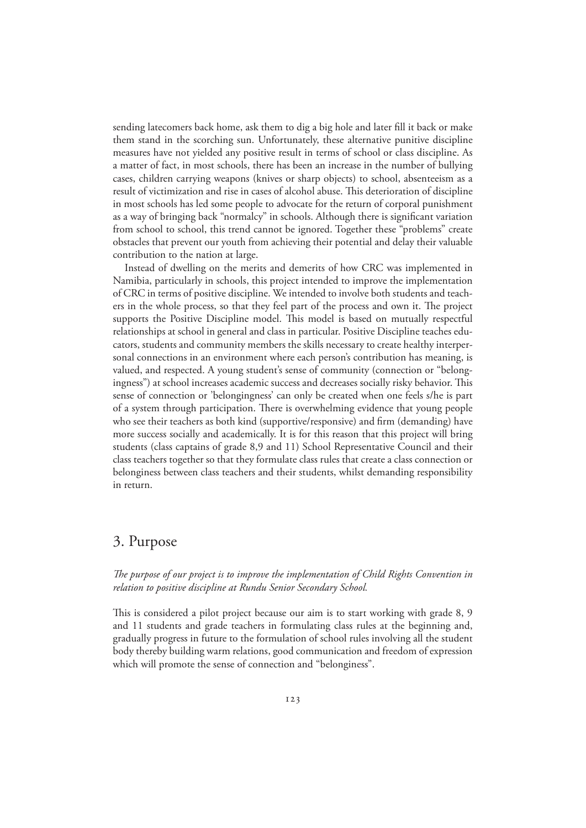sending latecomers back home, ask them to dig a big hole and later fill it back or make them stand in the scorching sun. Unfortunately, these alternative punitive discipline measures have not yielded any positive result in terms of school or class discipline. As a matter of fact, in most schools, there has been an increase in the number of bullying cases, children carrying weapons (knives or sharp objects) to school, absenteeism as a result of victimization and rise in cases of alcohol abuse. This deterioration of discipline in most schools has led some people to advocate for the return of corporal punishment as a way of bringing back "normalcy" in schools. Although there is significant variation from school to school, this trend cannot be ignored. Together these "problems" create obstacles that prevent our youth from achieving their potential and delay their valuable contribution to the nation at large.

 Instead of dwelling on the merits and demerits of how CRC was implemented in Namibia, particularly in schools, this project intended to improve the implementation of CRC in terms of positive discipline. We intended to involve both students and teachers in the whole process, so that they feel part of the process and own it. The project supports the Positive Discipline model. This model is based on mutually respectful relationships at school in general and class in particular. Positive Discipline teaches educators, students and community members the skills necessary to create healthy interpersonal connections in an environment where each person's contribution has meaning, is valued, and respected. A young student's sense of community (connection or "belongingness") at school increases academic success and decreases socially risky behavior. This sense of connection or 'belongingness' can only be created when one feels s/he is part of a system through participation. There is overwhelming evidence that young people who see their teachers as both kind (supportive/responsive) and firm (demanding) have more success socially and academically. It is for this reason that this project will bring students (class captains of grade 8,9 and 11) School Representative Council and their class teachers together so that they formulate class rules that create a class connection or belonginess between class teachers and their students, whilst demanding responsibility in return.

## 3. Purpose

*The purpose of our project is to improve the implementation of Child Rights Convention in relation to positive discipline at Rundu Senior Secondary School.*

This is considered a pilot project because our aim is to start working with grade 8, 9 and 11 students and grade teachers in formulating class rules at the beginning and, gradually progress in future to the formulation of school rules involving all the student body thereby building warm relations, good communication and freedom of expression which will promote the sense of connection and "belonginess".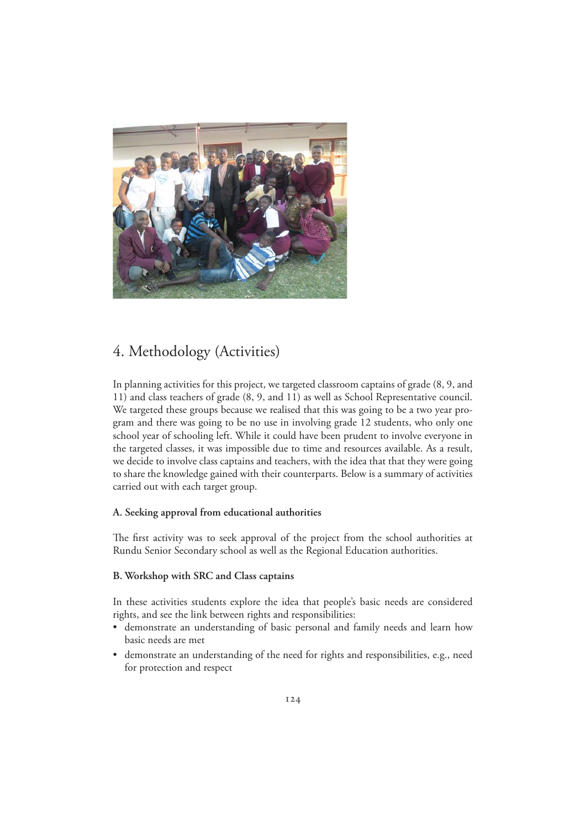

# 4. Methodology (Activities)

In planning activities for this project, we targeted classroom captains of grade (8, 9, and 11) and class teachers of grade (8, 9, and 11) as well as School Representative council. We targeted these groups because we realised that this was going to be a two year program and there was going to be no use in involving grade 12 students, who only one school year of schooling left. While it could have been prudent to involve everyone in the targeted classes, it was impossible due to time and resources available. As a result, we decide to involve class captains and teachers, with the idea that that they were going to share the knowledge gained with their counterparts. Below is a summary of activities carried out with each target group.

#### **A. Seeking approval from educational authorities**

The first activity was to seek approval of the project from the school authorities at Rundu Senior Secondary school as well as the Regional Education authorities.

#### **B. Workshop with SRC and Class captains**

In these activities students explore the idea that people's basic needs are considered rights, and see the link between rights and responsibilities:

- demonstrate an understanding of basic personal and family needs and learn how basic needs are met
- demonstrate an understanding of the need for rights and responsibilities, e.g., need for protection and respect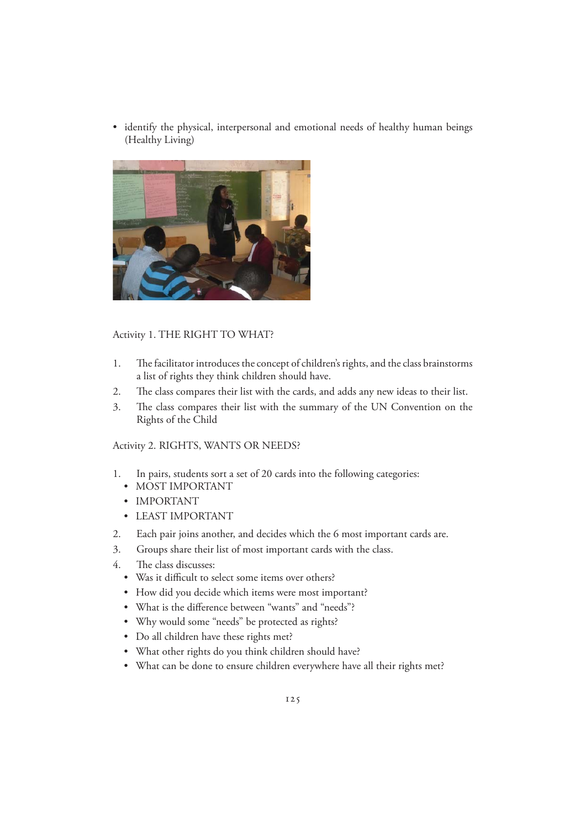• identify the physical, interpersonal and emotional needs of healthy human beings (Healthy Living)



#### Activity 1. THE RIGHT TO WHAT?

- 1. The facilitator introduces the concept of children's rights, and the class brainstorms a list of rights they think children should have.
- 2. The class compares their list with the cards, and adds any new ideas to their list.
- 3. The class compares their list with the summary of the UN Convention on the Rights of the Child

#### Activity 2. RIGHTS, WANTS OR NEEDS?

- 1. In pairs, students sort a set of 20 cards into the following categories:
	- MOST IMPORTANT
	- IMPORTANT
	- LEAST IMPORTANT
- 2. Each pair joins another, and decides which the 6 most important cards are.
- 3. Groups share their list of most important cards with the class.
- 4. The class discusses:
	- Was it difficult to select some items over others?
	- How did you decide which items were most important?
	- What is the difference between "wants" and "needs"?
	- Why would some "needs" be protected as rights?
	- Do all children have these rights met?
	- What other rights do you think children should have?
	- What can be done to ensure children everywhere have all their rights met?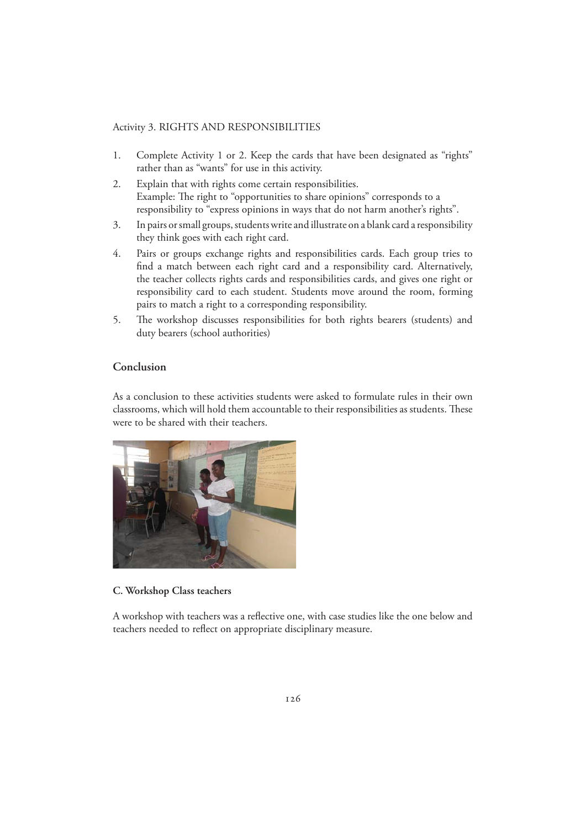#### Activity 3. RIGHTS AND RESPONSIBILITIES

- 1. Complete Activity 1 or 2. Keep the cards that have been designated as "rights" rather than as "wants" for use in this activity.
- 2. Explain that with rights come certain responsibilities. Example: The right to "opportunities to share opinions" corresponds to a responsibility to "express opinions in ways that do not harm another's rights".
- 3. In pairs or small groups, students write and illustrate on a blank card a responsibility they think goes with each right card.
- 4. Pairs or groups exchange rights and responsibilities cards. Each group tries to find a match between each right card and a responsibility card. Alternatively, the teacher collects rights cards and responsibilities cards, and gives one right or responsibility card to each student. Students move around the room, forming pairs to match a right to a corresponding responsibility.
- 5. The workshop discusses responsibilities for both rights bearers (students) and duty bearers (school authorities)

#### **Conclusion**

As a conclusion to these activities students were asked to formulate rules in their own classrooms, which will hold them accountable to their responsibilities as students. These were to be shared with their teachers.



#### **C. Workshop Class teachers**

A workshop with teachers was a reflective one, with case studies like the one below and teachers needed to reflect on appropriate disciplinary measure.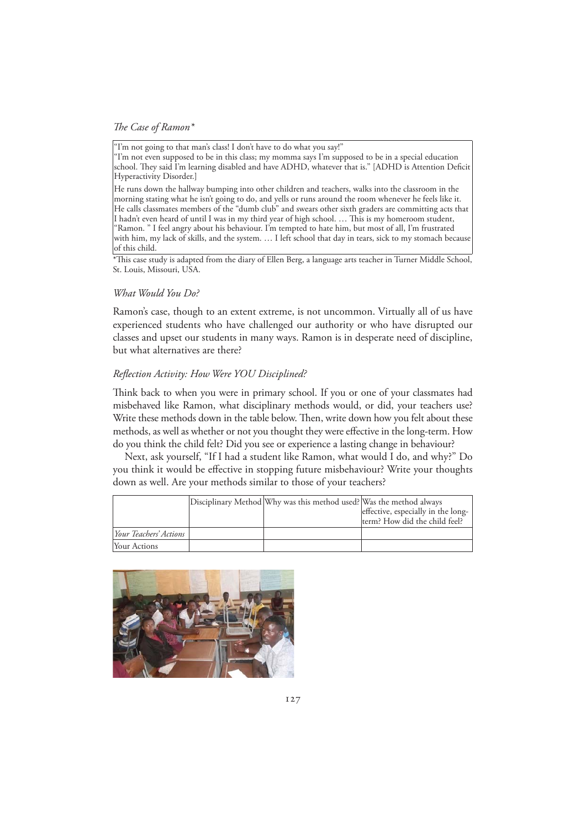*The Case of Ramon\**

"I'm not going to that man's class! I don't have to do what you say!"

"I'm not even supposed to be in this class; my momma says I'm supposed to be in a special education school. They said I'm learning disabled and have ADHD, whatever that is." [ADHD is Attention Deficit Hyperactivity Disorder.]

He runs down the hallway bumping into other children and teachers, walks into the classroom in the morning stating what he isn't going to do, and yells or runs around the room whenever he feels like it. He calls classmates members of the "dumb club" and swears other sixth graders are committing acts that I hadn't even heard of until I was in my third year of high school. … This is my homeroom student, "Ramon. " I feel angry about his behaviour. I'm tempted to hate him, but most of all, I'm frustrated with him, my lack of skills, and the system. … I left school that day in tears, sick to my stomach because of this child.

\*This case study is adapted from the diary of Ellen Berg, a language arts teacher in Turner Middle School, St. Louis, Missouri, USA.

#### *What Would You Do?*

Ramon's case, though to an extent extreme, is not uncommon. Virtually all of us have experienced students who have challenged our authority or who have disrupted our classes and upset our students in many ways. Ramon is in desperate need of discipline, but what alternatives are there?

#### *Reflection Activity: How Were YOU Disciplined?*

Think back to when you were in primary school. If you or one of your classmates had misbehaved like Ramon, what disciplinary methods would, or did, your teachers use? Write these methods down in the table below. Then, write down how you felt about these methods, as well as whether or not you thought they were effective in the long-term. How do you think the child felt? Did you see or experience a lasting change in behaviour?

 Next, ask yourself, "If I had a student like Ramon, what would I do, and why?" Do you think it would be effective in stopping future misbehaviour? Write your thoughts down as well. Are your methods similar to those of your teachers?

|                               | Disciplinary Method Why was this method used? Was the method always | effective, especially in the long-<br>term? How did the child feel? |
|-------------------------------|---------------------------------------------------------------------|---------------------------------------------------------------------|
| <i>Your Teachers' Actions</i> |                                                                     |                                                                     |
| Your Actions                  |                                                                     |                                                                     |

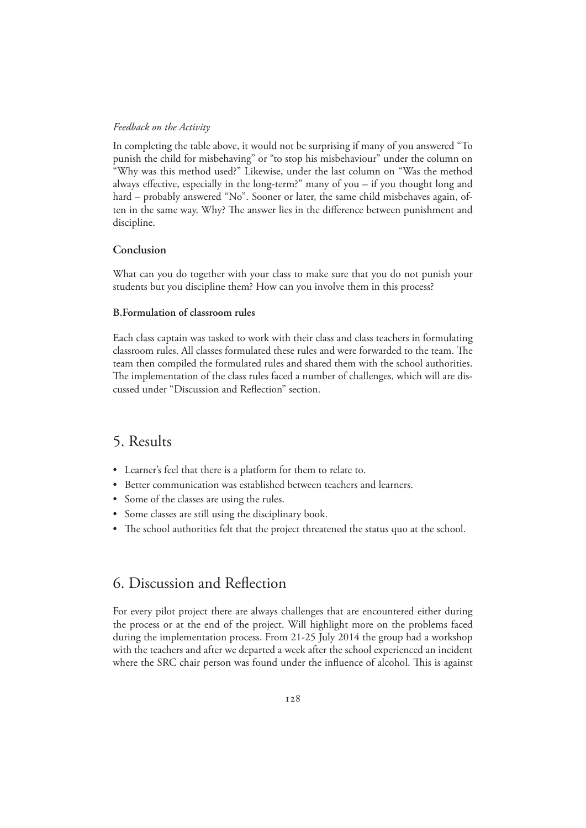#### *Feedback on the Activity*

In completing the table above, it would not be surprising if many of you answered "To punish the child for misbehaving" or "to stop his misbehaviour" under the column on "Why was this method used?" Likewise, under the last column on "Was the method always effective, especially in the long-term?" many of you – if you thought long and hard – probably answered "No". Sooner or later, the same child misbehaves again, often in the same way. Why? The answer lies in the difference between punishment and discipline.

#### **Conclusion**

What can you do together with your class to make sure that you do not punish your students but you discipline them? How can you involve them in this process?

#### **B.Formulation of classroom rules**

Each class captain was tasked to work with their class and class teachers in formulating classroom rules. All classes formulated these rules and were forwarded to the team. The team then compiled the formulated rules and shared them with the school authorities. The implementation of the class rules faced a number of challenges, which will are discussed under "Discussion and Reflection" section.

### 5. Results

- Learner's feel that there is a platform for them to relate to.
- Better communication was established between teachers and learners.
- Some of the classes are using the rules.
- Some classes are still using the disciplinary book.
- The school authorities felt that the project threatened the status quo at the school.

# 6. Discussion and Reflection

For every pilot project there are always challenges that are encountered either during the process or at the end of the project. Will highlight more on the problems faced during the implementation process. From 21-25 July 2014 the group had a workshop with the teachers and after we departed a week after the school experienced an incident where the SRC chair person was found under the influence of alcohol. This is against